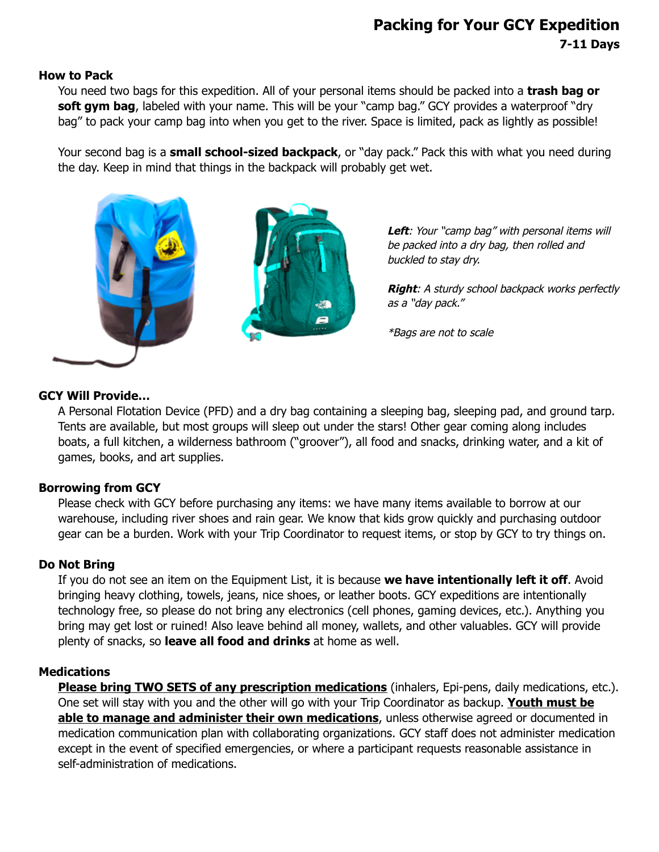# **Packing for Your GCY Expedition 7-11 Days**

#### **How to Pack**

You need two bags for this expedition. All of your personal items should be packed into a **trash bag or** soft gym bag, labeled with your name. This will be your "camp bag." GCY provides a waterproof "dry bag" to pack your camp bag into when you get to the river. Space is limited, pack as lightly as possible!

Your second bag is a **small school-sized backpack**, or "day pack." Pack this with what you need during the day. Keep in mind that things in the backpack will probably get wet.



Left: Your "camp bag" with personal items will be packed into a dry bag, then rolled and buckled to stay dry.

**Right**: A sturdy school backpack works perfectly as <sup>a</sup>"day pack."

\*Bags are not to scale

### **GCY Will Provide…**

A Personal Flotation Device (PFD) and a dry bag containing a sleeping bag, sleeping pad, and ground tarp. Tents are available, but most groups will sleep out under the stars! Other gear coming along includes boats, a full kitchen, a wilderness bathroom ("groover"), all food and snacks, drinking water, and a kit of games, books, and art supplies.

### **Borrowing from GCY**

Please check with GCY before purchasing any items: we have many items available to borrow at our warehouse, including river shoes and rain gear. We know that kids grow quickly and purchasing outdoor gear can be a burden. Work with your Trip Coordinator to request items, or stop by GCY to try things on.

### **Do Not Bring**

If you do not see an item on the Equipment List, it is because **we have intentionally left it off**. Avoid bringing heavy clothing, towels, jeans, nice shoes, or leather boots. GCY expeditions are intentionally technology free, so please do not bring any electronics (cell phones, gaming devices, etc.). Anything you bring may get lost or ruined! Also leave behind all money, wallets, and other valuables. GCY will provide plenty of snacks, so **leave all food and drinks** at home as well.

### **Medications**

**Please bring TWO SETS of any prescription medications** (inhalers, Epi-pens, daily medications, etc.). One set will stay with you and the other will go with your Trip Coordinator as backup. **Youth must be able to manage and administer their own medications**, unless otherwise agreed or documented in medication communication plan with collaborating organizations. GCY staff does not administer medication except in the event of specified emergencies, or where a participant requests reasonable assistance in self-administration of medications.